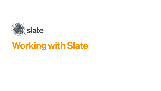

# Working with Slate

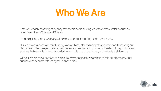



Slate is a London-based digital agency that specialises in building websites across platforms such as WordPress, SquareSpace, and Shopify.

If you've got the business, we've got the website skills for you. And here's how it works.

- 
- 
- Our team's approach to website building starts with industry and competitor, research and assessing our clients' needs. We then provide a tailored package for each client, using a combination of the products and
- With our wide range of services and a results-driven approach, we are here to help our clients grow their



services that each client needs; from design and build through to delivery and website maintenance.

business and connect with the right audience online.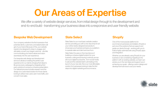Our Areas of Expertise

Your company website is the first impression that potential clients, customers, and stakeholders will get of your brand. Because of this, your website needs to be designed to draw in, engage, and ultimately convert your target customer - all while communicating your brand values and vision seamlessly into the user experience.

Our bespoke web design and development service is all about creating the perfect user experience for our clients, bringing their ideas to life across every webpage by integrating third party solutions to ensure a cohesive presentation. Our tailored process includes research and the design of a customised solution for those clients looking to attract new users, earn more traffic, and convert more sales.

Slate Select is our most basic website creation service, providing you with a one-stop shop for all your online needs, designed exclusively to showcase your business and give you a platform to operate sales and client services from. Slate Select focuses on the importance of

building a cohesive digital footprint for your business, uniting and ensuring continuity across all of your digital touchpoints - from social media to ads and the website itself. Culminating in the launch of your new site, this is our most affordable solution for businesses looking to take the first steps into digital marketing and ecommerce.

We offer a variety of website design services, from initial design through to the development and end-to-end build - transforming your business ideas into a responsive and user friendly website.

### **Bespoke Web Development** Slate Select Shopify

One of the most popular platforms for ecommerce businesses and retailers, Shopify is just one of the solutions that we support and guide our clients through - working with you to build a highly optimised site using Shopify apps and integration.

Whether you are already using Shopify for your business or are considering migrating to the platform with an existing website, our team can advise you in the next steps and support you in achieving your goals - offering custom design and development services to suit your needs.

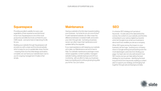Providing excellent usability for every user regardless of their experience and technical know-how, Squarespace is one of the most productive and effective tools out there for your CMS needs - and we're here to help bring it to life for you.

Building your website through Squarespace will provide you with a clean and functional website which is easy for you to update later down the line - meaning that once the initial design and build is complete, we can hand your website back over to you for ongoing management. It really is that simple.

Having a website is the first step towards building your business - but what do you do once it's live? A well maintained website can often mean the difference between consistent traffic and a lull in your click-through rate - but being a business owner can often mean that maintenance and updates fall by the wayside.

If you need assistance with keeping your website up to date, our Maintenance service is here to help. Our website maintenance package covers version upgrades, content updates, managed website hosting, website backups and 24 hour monitoring - all in an effort to help your business keep succeeding and continue growing long after you hit the "Go Live" button.

A cohesive SEO strategy isn't just about keywords - it is also about the data behind the scenes, the content on your website, and the links embedded in your various digital touchpoints which let Google know what your business is about and how credible you are as a company.

When SEO goes wrong, the impact on your business can be huge - pushing your company down in Google ranking and preventing even the most ideal target customers from finding your page. Our team are not only well versed in how SEO works, but we can help define the best strategy for your business - identifying the best long and short form keywords, building a content plan to support your strategy, and bringing it all together through ads and background data.





### Squarespace Maintenance SEO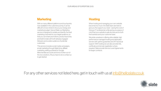With so many different platforms and touchpoints now available in the customer journey, it can be difficult to know where to focus your energy and marketing budget. Here at Slate our Marketing service is designed to isolate and identify the best marketing channels for your target audience, so that you can share promotions, product launches, and testimonials with both already engaged followers and a wider audience of potential customers.

This service includes social media campaigns, email marketing through Mailchimp, affiliate marketing, setting up feeds for Google Merchandise accounts and tons of other out-ofthe-box solutions. All you have to do is contact us to get started.

## For any other services not listed here, get in touch with us at info@helloslate.co.uk

We pride ourselves in offering ultra-reliable, high performance managed hosting and dedicated servers with uptime guarantee and 247 technical support. With hosting we can also provide SSL certificate and domain registration where required. Slate provide Service Level Agreements for larger contracts.



When hosting and managing your own website becomes too much, the Slate team are here to give you the support you need - saving the cost of hiring an IT professional, while giving you peace of mind that your website is safe and secure for both the business and your customer base.

### Marketing **Marketing Reserves**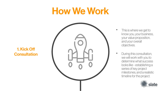# How We Work

- This is where we get to know you, your business, your value proposition, and your overall objectives.
- During this consultation, we will work with you to determine what success looks like - establishing a series of key project milestones, and a realistic timeline for the project.











## 1.Kick Off Consultation

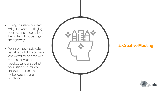# 2.Creative Meeting







- During this stage, our team will get to work on bringing your business proposition to life for the right audience, in the right way.
- Your input is considered a valuable part of this process, and we will touch base with you regularly to earn feedback and ensure that your vision is e ffectively translated onto each webpage and digital touchpoint.

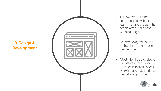# 3.Design & Development

- This is where it all starts to come together, with our team inviting you to view the designs of your business website in Figma.
- Once we've agreed on the final design, it's time to bring the site to life.
- A test link will be provided to you before launch, giving you a chance to test and check every link and button prior to the website going live.

![](_page_7_Picture_1.jpeg)

![](_page_7_Picture_5.jpeg)

![](_page_7_Figure_6.jpeg)

![](_page_7_Figure_7.jpeg)

![](_page_7_Figure_8.jpeg)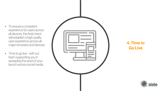## 4. Time to Go Live

![](_page_8_Picture_4.jpeg)

- To ensure a consistent experience for users across all devices, this final check will establish a high quality user experience across all major browsers and devices.
- Time to go live with our team supporting you in spreading the word of your launch across social media.

![](_page_8_Figure_2.jpeg)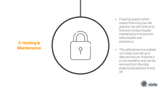# 5.Hosting & Maintenance

![](_page_9_Picture_1.jpeg)

- Ongoing support which means that once your site goes live, we will continue to host and conduct regular maintenance to ensure the best possible user experience.
- This optional service enables us to keep your site up to date and secure. However, it is not mandatory and can be removed from the initial project proposal prior to kick off.

![](_page_9_Picture_4.jpeg)

![](_page_9_Figure_5.jpeg)

![](_page_9_Figure_6.jpeg)

![](_page_9_Figure_7.jpeg)

![](_page_9_Figure_8.jpeg)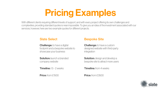# Pricing Examples

### Slate Select Bespoke Site

![](_page_10_Picture_0.jpeg)

With different clients requiring different levels of support, and with every project offering its own challenges and complexities, providing standard quotes is near impossible. To give you an idea of the investment associated with our services, however, here are two example quotes for different projects.

**Challenge:** to have a digital footprint and a bespoke website to showcase your business

**Solution:** launch a branded company website

**Timeline:** 1.5 - 2 weeks

Price: from £1500

**Challenge:** to have a custom designed website with third-party integration

**Solution:** design and develop a bespoke site to attract more users

**Timeline:** from 4 weeks

Price: from £3500

![](_page_10_Picture_13.jpeg)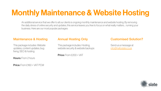# Monthly Maintenance & Website Hosting

An additional service that we offer to all our clients is ongoing monthly maintenance and website hosting. By removing the daily stress of online security and updates, this service leaves you free to focus on what really matters… running your business. Here are our most popular packages:

### Maintenance & Hosting **Annual Hosting Only** Customised Solution?

This package includes: Website updates, content updates, bug fixing, SEO & hosting

Hours: From 2 hours

Price: From £160 + VAT PCM

This package includes: Hosting, website security & website backups

Price: From £200 + VAT

Send us a message at info@helloslate.co.uk

![](_page_11_Picture_11.jpeg)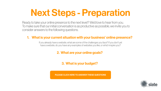# Next Steps - Preparation

![](_page_12_Picture_0.jpeg)

Ready to take your online presence to the next level? We'd love to hear from you. To make sure that our initial conversation is as productive as possible, we invite you to consider answers to the following questions.

> If you already have a website, what are some of the challenges you face? If you don't yet have a website, do you have any examples of websites you like, or which inspire you?

## 1. What is your current situation with your business' online presence?

### 2. What are your online goals?

![](_page_12_Picture_9.jpeg)

3. What is your budget?

[PLEASE CLICK HERE TO ANSWER THESE QUESTIONS](https://helloslatev2dv.wpengine.com/work-with-us/)